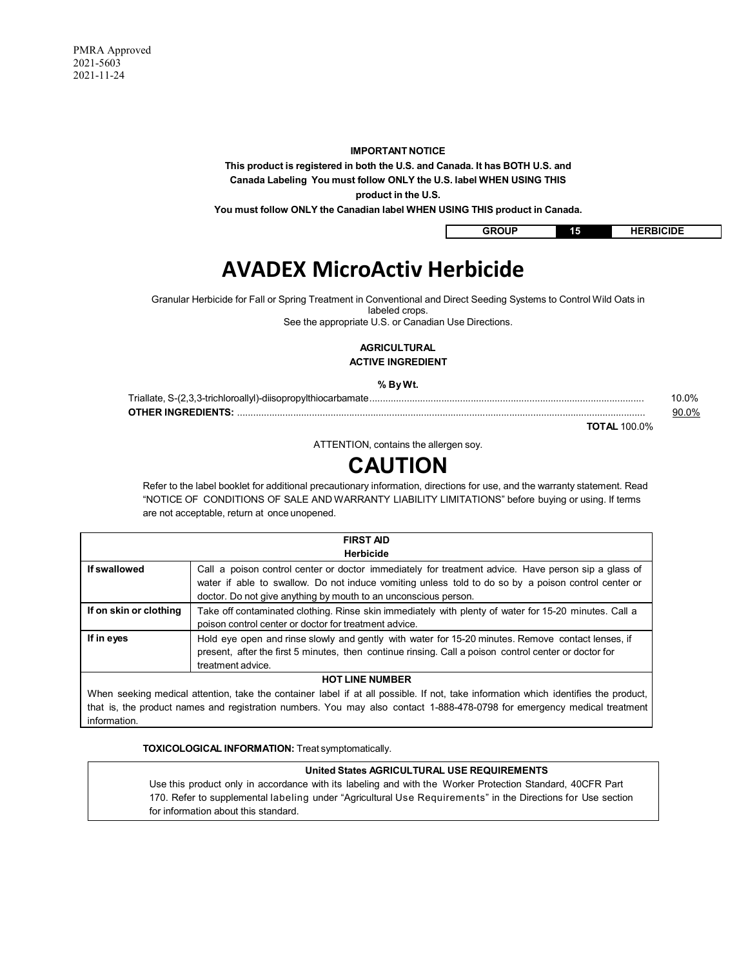### **IMPORTANT NOTICE**

**This product is registered in both the U.S. and Canada. It has BOTH U.S. and Canada Labeling You must follow ONLY the U.S. label WHEN USING THIS** 

**product in the U.S.**

**You must follow ONLY the Canadian label WHEN USING THIS product in Canada.**

GROUP 15 HERBICIDE

# **AVADEX MicroActiv Herbicide**

Granular Herbicide for Fall or Spring Treatment in Conventional and Direct Seeding Systems to Control Wild Oats in

labeled crops.

See the appropriate U.S. or Canadian Use Directions.

# **AGRICULTURAL ACTIVE INGREDIENT**

#### **% By Wt.**

| nn. |
|-----|

**TOTAL** 100.0%

ATTENTION, contains the allergen soy.

# **CAUTION**

Refer to the label booklet for additional precautionary information, directions for use, and the warranty statement. Read "NOTICE OF CONDITIONS OF SALE AND WARRANTY LIABILITY LIMITATIONS" before buying or using. If terms are not acceptable, return at once unopened.

| <b>FIRST AID</b><br><b>Herbicide</b> |                                                                                                                                                                                                                                                                               |  |  |
|--------------------------------------|-------------------------------------------------------------------------------------------------------------------------------------------------------------------------------------------------------------------------------------------------------------------------------|--|--|
| If swallowed                         | Call a poison control center or doctor immediately for treatment advice. Have person sip a glass of<br>water if able to swallow. Do not induce vomiting unless told to do so by a poison control center or<br>doctor. Do not give anything by mouth to an unconscious person. |  |  |
| If on skin or clothing               | Take off contaminated clothing. Rinse skin immediately with plenty of water for 15-20 minutes. Call a<br>poison control center or doctor for treatment advice.                                                                                                                |  |  |
| If in eyes                           | Hold eye open and rinse slowly and gently with water for 15-20 minutes. Remove contact lenses, if<br>present, after the first 5 minutes, then continue rinsing. Call a poison control center or doctor for<br>treatment advice.                                               |  |  |
| <b>HOT LINE NUMBER</b>               |                                                                                                                                                                                                                                                                               |  |  |
|                                      | When seeking medical attention take the container label if at all possible. If not take information which identifies the product                                                                                                                                              |  |  |

When seeking medical attention, take the container label if at all possible. If not, take information which identifies the product, that is, the product names and registration numbers. You may also contact 1-888-478-0798 for emergency medical treatment information.

**TOXICOLOGICAL INFORMATION:** Treat symptomatically.

# **United States AGRICULTURAL USE REQUIREMENTS**

Use this product only in accordance with its labeling and with the Worker Protection Standard, 40CFR Part 170. Refer to supplemental labeling under "Agricultural Use Requirements" in the Directions for Use section for information about this standard.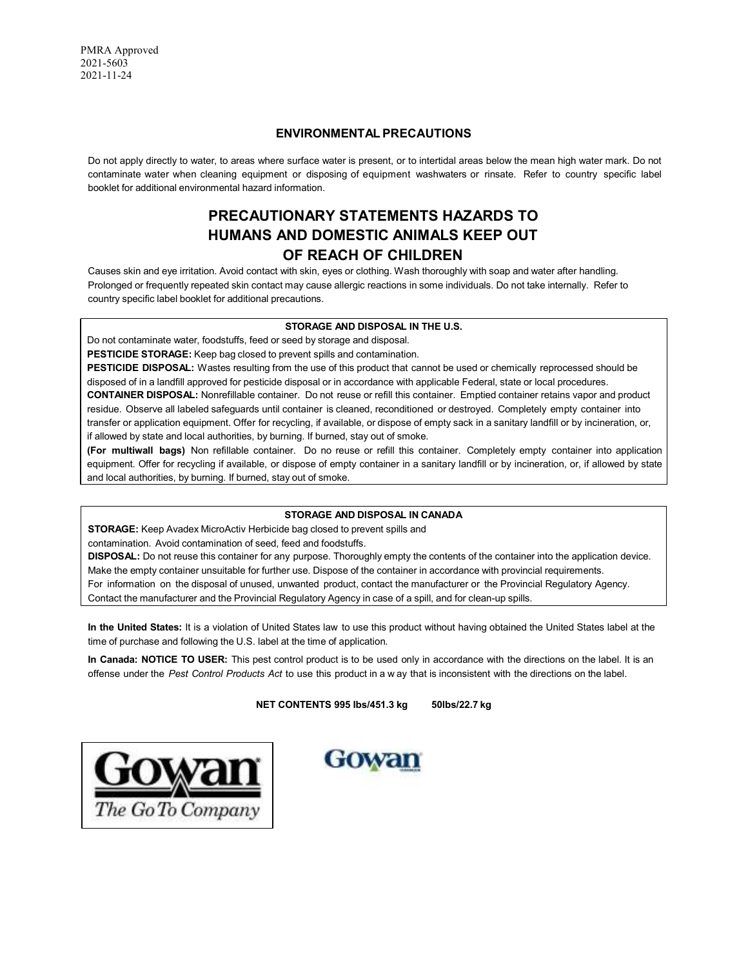# **ENVIRONMENTAL PRECAUTIONS**

Do not apply directly to water, to areas where surface water is present, or to intertidal areas below the mean high water mark. Do not contaminate water when cleaning equipment or disposing of equipment washwaters or rinsate. Refer to country specific label booklet for additional environmental hazard information.

# **PRECAUTIONARY STATEMENTS HAZARDS TO HUMANS AND DOMESTIC ANIMALS KEEP OUT OF REACH OF CHILDREN**

Causes skin and eye irritation. Avoid contact with skin, eyes or clothing. Wash thoroughly with soap and water after handling. Prolonged or frequently repeated skin contact may cause allergic reactions in some individuals. Do not take internally. Refer to country specific label booklet for additional precautions.

# **STORAGE AND DISPOSAL IN THE U.S.**

Do not contaminate water, foodstuffs, feed or seed by storage and disposal.

**PESTICIDE STORAGE:** Keep bag closed to prevent spills and contamination.

**PESTICIDE DISPOSAL:** Wastes resulting from the use of this product that cannot be used or chemically reprocessed should be disposed of in a landfill approved for pesticide disposal or in accordance with applicable Federal, state or local procedures. **CONTAINER DISPOSAL:** Nonrefillable container. Do not reuse or refill this container. Emptied container retains vapor and product residue. Observe all labeled safeguards until container is cleaned, reconditioned or destroyed. Completely empty container into transfer or application equipment. Offer for recycling, if available, or dispose of empty sack in a sanitary landfill or by incineration, or, if allowed by state and local authorities, by burning. If burned, stay out of smoke.

**(For multiwall bags)** Non refillable container. Do no reuse or refill this container. Completely empty container into application equipment. Offer for recycling if available, or dispose of empty container in a sanitary landfill or by incineration, or, if allowed by state and local authorities, by burning. If burned, stay out of smoke.

# **STORAGE AND DISPOSAL IN CANADA**

**STORAGE:** Keep Avadex MicroActiv Herbicide bag closed to prevent spills and

contamination. Avoid contamination of seed, feed and foodstuffs.

**DISPOSAL:** Do not reuse this container for any purpose. Thoroughly empty the contents of the container into the application device. Make the empty container unsuitable for further use. Dispose of the container in accordance with provincial requirements. For information on the disposal of unused, unwanted product, contact the manufacturer or the Provincial Regulatory Agency. Contact the manufacturer and the Provincial Regulatory Agency in case of a spill, and for clean-up spills.

**In the United States:** It is a violation of United States law to use this product without having obtained the United States label at the time of purchase and following the U.S. label at the time of application.

**In Canada: NOTICE TO USER:** This pest control product is to be used only in accordance with the directions on the label. It is an offense under the *Pest Control Products Act* to use this product in a w ay that is inconsistent with the directions on the label.

**NET CONTENTS 995 lbs/451.3 kg 50lbs/22.7 kg**



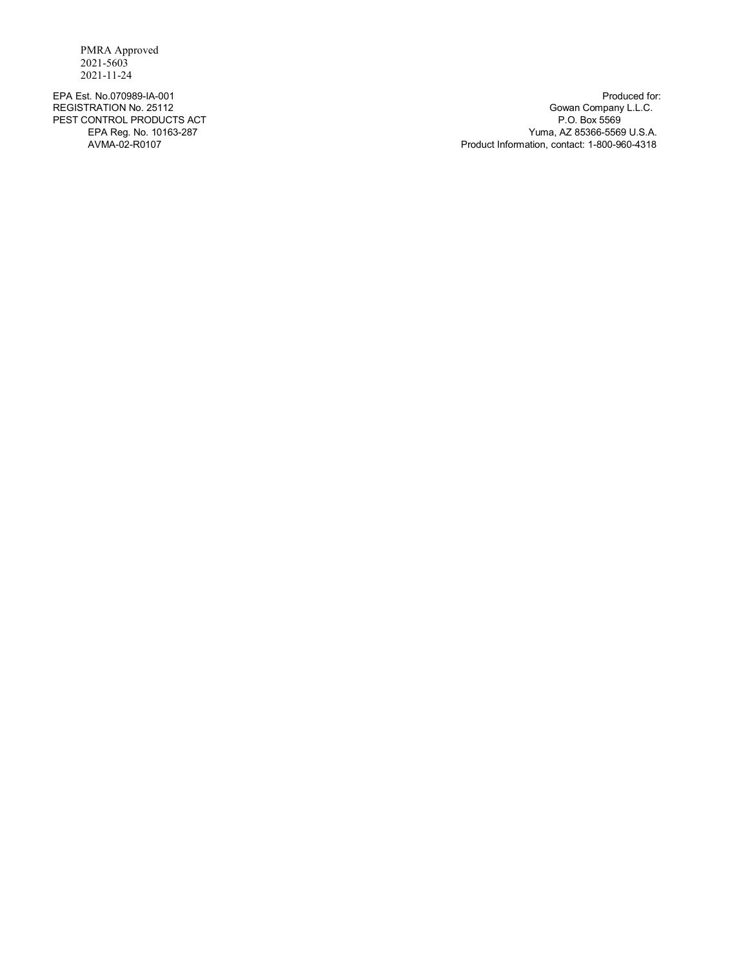PEST CONTROL PRODUCTS ACT<br>EPA Reg. No. 10163-287

EPA Est. No.070989-IA-001 Produced for:<br>
REGISTRATION No. 25112 Produced for: 
REGISTRATION No. 25112 REGISTRATION No. 25112 Gowan Company L.L.C. EPA Reg. No. 10163-287 Yuma, AZ 85366-5569 U.S.A. Product Information, contact: 1-800-960-4318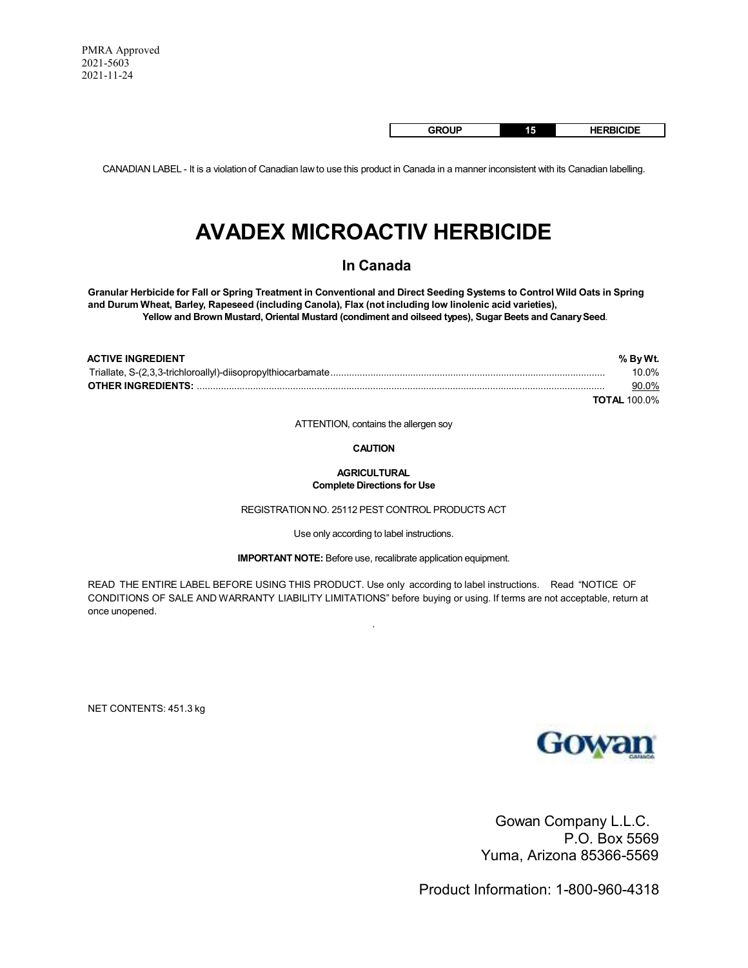**GROUP 15 HERBICIDE**

CANADIAN LABEL - It is a violation of Canadian law to use this product in Canada in a manner inconsistent with its Canadian labelling.

# **AVADEX MICROACTIV HERBICIDE**

# **In Canada**

**Granular Herbicide for Fall or Spring Treatment in Conventional and Direct Seeding Systems to Control Wild Oats in Spring and Durum Wheat, Barley, Rapeseed (including Canola), Flax (not including low linolenic acid varieties), Yellow and Brown Mustard, Oriental Mustard (condiment and oilseed types), Sugar Beets and Canary Seed**.

| <b>ACTIVE INGREDIENT</b> | % By Wt.            |
|--------------------------|---------------------|
|                          | 10.0%               |
|                          | 90.0%               |
|                          | <b>TOTAL 100.0%</b> |

ATTENTION, contains the allergen soy

#### **CAUTION**

#### **AGRICULTURAL Complete Directions for Use**

REGISTRATION NO. 25112 PEST CONTROL PRODUCTS ACT

Use only according to label instructions.

**IMPORTANT NOTE:** Before use, recalibrate application equipment.

READ THE ENTIRE LABEL BEFORE USING THIS PRODUCT. Use only according to label instructions. Read "NOTICE OF CONDITIONS OF SALE AND WARRANTY LIABILITY LIMITATIONS" before buying or using. If terms are not acceptable, return at once unopened.

.

NET CONTENTS: 451.3 kg



Gowan Company L.L.C. P.O. Box 5569 Yuma, Arizona 85366-5569

Product Information: 1-800-960-4318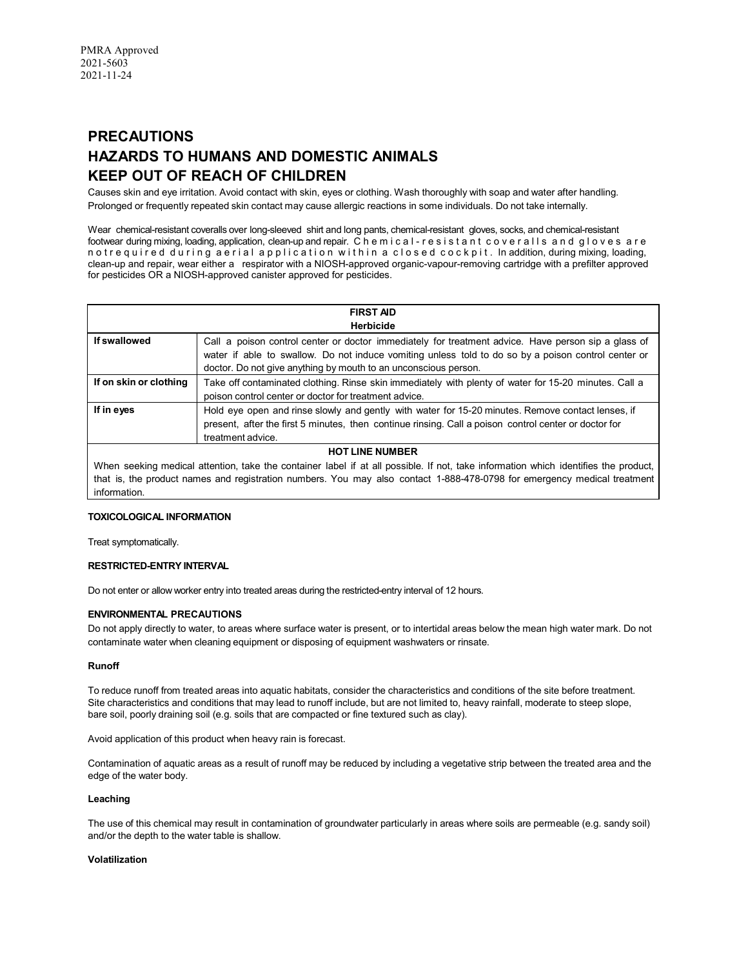# **PRECAUTIONS HAZARDS TO HUMANS AND DOMESTIC ANIMALS KEEP OUT OF REACH OF CHILDREN**

Causes skin and eye irritation. Avoid contact with skin, eyes or clothing. Wash thoroughly with soap and water after handling. Prolonged or frequently repeated skin contact may cause allergic reactions in some individuals. Do not take internally.

Wear chemical-resistant coveralls over long-sleeved shirt and long pants, chemical-resistant gloves, socks, and chemical-resistant footwear during mixing, loading, application, clean-up and repair. C h e m i c a l - r e s i s t a n t c o v e r a l l s a n d g l o v e s a r e n o t r e q u i r e d d u r i n q a e r i a l a p p l i c a t i o n w i t h in a c l o s e d c o c k p i t . In addition, during mixing, loading, clean-up and repair, wear either a respirator with a NIOSH-approved organic-vapour-removing cartridge with a prefilter approved for pesticides OR a NIOSH-approved canister approved for pesticides.

|                        | <b>FIRST AID</b>                                                                                      |  |  |  |
|------------------------|-------------------------------------------------------------------------------------------------------|--|--|--|
|                        | <b>Herbicide</b>                                                                                      |  |  |  |
| If swallowed           | Call a poison control center or doctor immediately for treatment advice. Have person sip a glass of   |  |  |  |
|                        | water if able to swallow. Do not induce vomiting unless told to do so by a poison control center or   |  |  |  |
|                        | doctor. Do not give anything by mouth to an unconscious person.                                       |  |  |  |
| If on skin or clothing | Take off contaminated clothing. Rinse skin immediately with plenty of water for 15-20 minutes. Call a |  |  |  |
|                        | poison control center or doctor for treatment advice.                                                 |  |  |  |
| If in eyes             | Hold eye open and rinse slowly and gently with water for 15-20 minutes. Remove contact lenses, if     |  |  |  |
|                        | present, after the first 5 minutes, then continue rinsing. Call a poison control center or doctor for |  |  |  |
|                        | treatment advice.                                                                                     |  |  |  |
|                        | HOT I INE NI IMRED                                                                                    |  |  |  |

# **HOT LINE NUMBER**

When seeking medical attention, take the container label if at all possible. If not, take information which identifies the product, that is, the product names and registration numbers. You may also contact 1-888-478-0798 for emergency medical treatment information.

# **TOXICOLOGICAL INFORMATION**

Treat symptomatically.

# **RESTRICTED-ENTRY INTERVAL**

Do not enter or allow worker entry into treated areas during the restricted-entry interval of 12 hours.

# **ENVIRONMENTAL PRECAUTIONS**

Do not apply directly to water, to areas where surface water is present, or to intertidal areas below the mean high water mark. Do not contaminate water when cleaning equipment or disposing of equipment washwaters or rinsate.

# **Runoff**

To reduce runoff from treated areas into aquatic habitats, consider the characteristics and conditions of the site before treatment. Site characteristics and conditions that may lead to runoff include, but are not limited to, heavy rainfall, moderate to steep slope, bare soil, poorly draining soil (e.g. soils that are compacted or fine textured such as clay).

Avoid application of this product when heavy rain is forecast.

Contamination of aquatic areas as a result of runoff may be reduced by including a vegetative strip between the treated area and the edge of the water body.

# **Leaching**

The use of this chemical may result in contamination of groundwater particularly in areas where soils are permeable (e.g. sandy soil) and/or the depth to the water table is shallow.

# **Volatilization**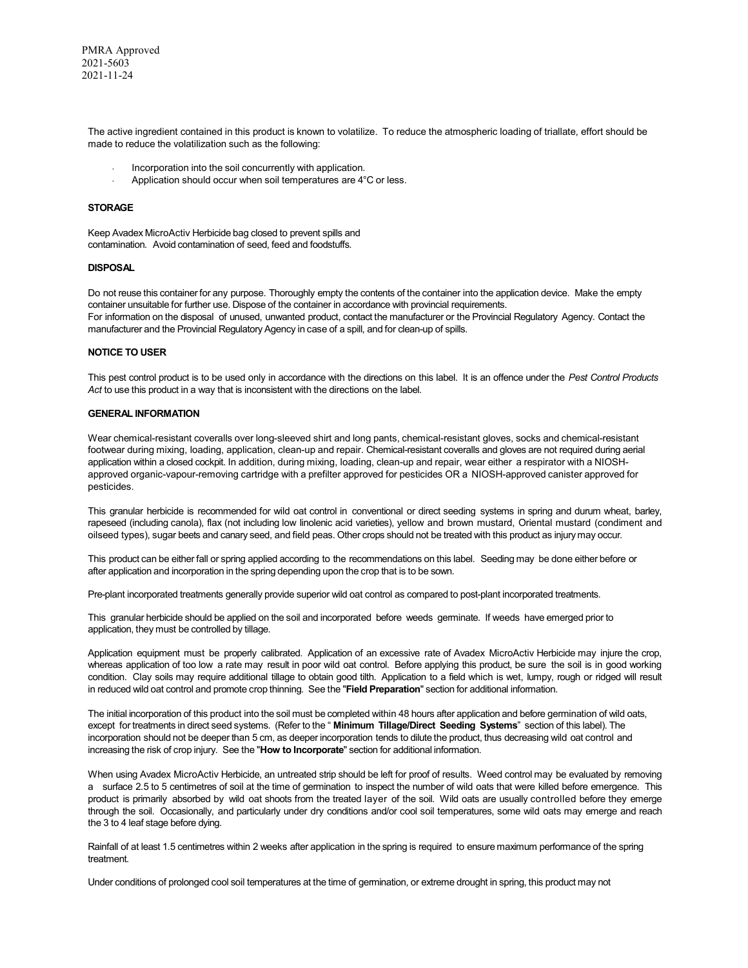The active ingredient contained in this product is known to volatilize. To reduce the atmospheric loading of triallate, effort should be made to reduce the volatilization such as the following:

- Incorporation into the soil concurrently with application.
- Application should occur when soil temperatures are 4°C or less.

# **STORAGE**

Keep Avadex MicroActiv Herbicide bag closed to prevent spills and contamination. Avoid contamination of seed, feed and foodstuffs.

#### **DISPOSAL**

Do not reuse this container for any purpose. Thoroughly empty the contents of the container into the application device. Make the empty container unsuitable for further use. Dispose of the container in accordance with provincial requirements. For information on the disposal of unused, unwanted product, contact the manufacturer or the Provincial Regulatory Agency. Contact the manufacturer and the Provincial Regulatory Agency in case of a spill, and for clean-up of spills.

#### **NOTICE TO USER**

This pest control product is to be used only in accordance with the directions on this label. It is an offence under the *Pest Control Products* Act to use this product in a way that is inconsistent with the directions on the label.

#### **GENERAL INFORMATION**

Wear chemical-resistant coveralls over long-sleeved shirt and long pants, chemical-resistant gloves, socks and chemical-resistant footwear during mixing, loading, application, clean-up and repair. Chemical-resistant coveralls and gloves are not required during aerial application within a closed cockpit. In addition, during mixing, loading, clean-up and repair, wear either a respirator with a NIOSHapproved organic-vapour-removing cartridge with a prefilter approved for pesticides OR a NIOSH-approved canister approved for pesticides.

This granular herbicide is recommended for wild oat control in conventional or direct seeding systems in spring and durum wheat, barley, rapeseed (including canola), flax (not including low linolenic acid varieties), yellow and brown mustard, Oriental mustard (condiment and oilseed types), sugar beets and canary seed, and field peas. Other crops should not be treated with this product as injury may occur.

This product can be either fall or spring applied according to the recommendations on this label. Seeding may be done either before or after application and incorporation in the spring depending upon the crop that is to be sown.

Pre-plant incorporated treatments generally provide superior wild oat control as compared to post-plant incorporated treatments.

This granular herbicide should be applied on the soil and incorporated before weeds germinate. If weeds have emerged prior to application, they must be controlled by tillage.

Application equipment must be properly calibrated. Application of an excessive rate of Avadex MicroActiv Herbicide may injure the crop, whereas application of too low a rate may result in poor wild oat control. Before applying this product, be sure the soil is in good working condition. Clay soils may require additional tillage to obtain good tilth. Application to a field which is wet, lumpy, rough or ridged will result in reduced wild oat control and promote crop thinning. See the "**Field Preparation**" section for additional information.

The initial incorporation of this product into the soil must be completed within 48 hours after application and before germination of wild oats, except for treatments in direct seed systems. (Refer to the " **Minimum Tillage/Direct Seeding Systems**" section of this label). The incorporation should not be deeper than 5 cm, as deeper incorporation tends to dilute the product, thus decreasing wild oat control and increasing the risk of crop injury. See the "**How to Incorporate**" section for additional information.

When using Avadex MicroActiv Herbicide, an untreated strip should be left for proof of results. Weed control may be evaluated by removing a surface 2.5 to 5 centimetres of soil at the time of germination to inspect the number of wild oats that were killed before emergence. This product is primarily absorbed by wild oat shoots from the treated layer of the soil. Wild oats are usually controlled before they emerge through the soil. Occasionally, and particularly under dry conditions and/or cool soil temperatures, some wild oats may emerge and reach the 3 to 4 leaf stage before dying.

Rainfall of at least 1.5 centimetres within 2 weeks after application in the spring is required to ensure maximum performance of the spring treatment.

Under conditions of prolonged cool soil temperatures at the time of germination, or extreme drought in spring, this product may not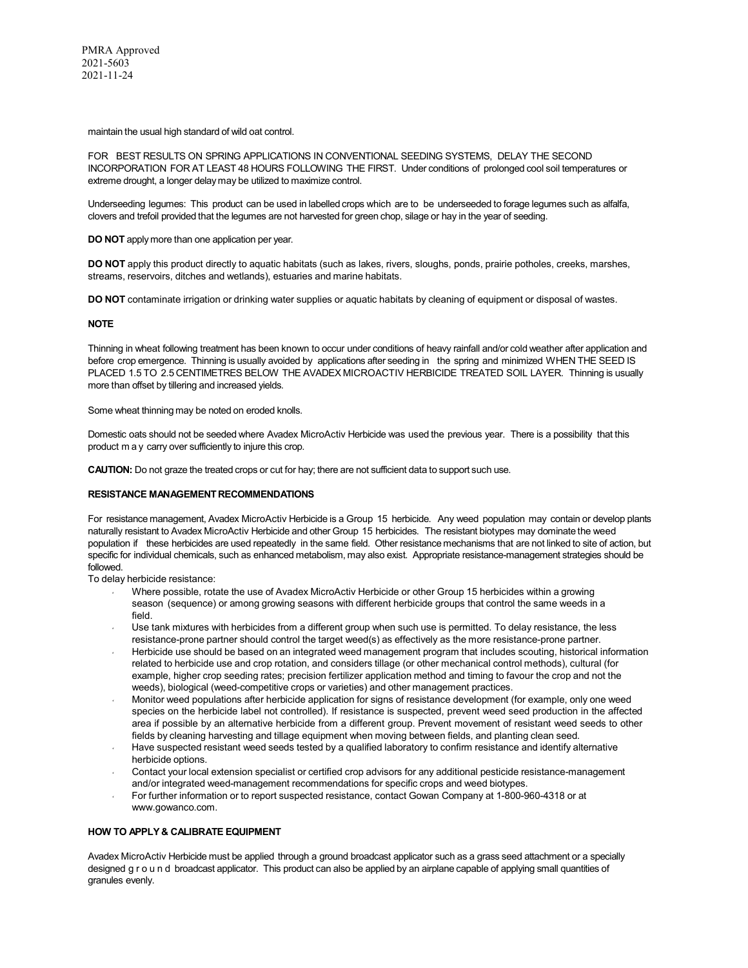maintain the usual high standard of wild oat control.

FOR BEST RESULTS ON SPRING APPLICATIONS IN CONVENTIONAL SEEDING SYSTEMS, DELAY THE SECOND INCORPORATION FOR AT LEAST 48 HOURS FOLLOWING THE FIRST. Under conditions of prolonged cool soil temperatures or extreme drought, a longer delay may be utilized to maximize control.

Underseeding legumes: This product can be used in labelled crops which are to be underseeded to forage legumes such as alfalfa, clovers and trefoil provided that the legumes are not harvested for green chop, silage or hay in the year of seeding.

**DO NOT** apply more than one application per year.

**DO NOT** apply this product directly to aquatic habitats (such as lakes, rivers, sloughs, ponds, prairie potholes, creeks, marshes, streams, reservoirs, ditches and wetlands), estuaries and marine habitats.

**DO NOT** contaminate irrigation or drinking water supplies or aquatic habitats by cleaning of equipment or disposal of wastes.

#### **NOTE**

Thinning in wheat following treatment has been known to occur under conditions of heavy rainfall and/or cold weather after application and before crop emergence. Thinning is usually avoided by applications after seeding in the spring and minimized WHEN THE SEED IS PLACED 1.5 TO 2.5 CENTIMETRES BELOW THE AVADEX MICROACTIV HERBICIDE TREATED SOIL LAYER. Thinning is usually more than offset by tillering and increased yields.

Some wheat thinning may be noted on eroded knolls.

Domestic oats should not be seeded where Avadex MicroActiv Herbicide was used the previous year. There is a possibility that this product m a y carry over sufficiently to injure this crop.

**CAUTION:** Do not graze the treated crops or cut for hay; there are not sufficient data to support such use.

#### **RESISTANCE MANAGEMENT RECOMMENDATIONS**

For resistance management, Avadex MicroActiv Herbicide is a Group 15 herbicide. Any weed population may contain or develop plants naturally resistant to Avadex MicroActiv Herbicide and other Group 15 herbicides. The resistant biotypes may dominate the weed population if these herbicides are used repeatedly in the same field. Other resistance mechanisms that are not linked to site of action, but specific for individual chemicals, such as enhanced metabolism, may also exist. Appropriate resistance-management strategies should be followed.

To delay herbicide resistance:

- Where possible, rotate the use of Avadex MicroActiv Herbicide or other Group 15 herbicides within a growing season (sequence) or among growing seasons with different herbicide groups that control the same weeds in a field.
- Use tank mixtures with herbicides from a different group when such use is permitted. To delay resistance, the less resistance-prone partner should control the target weed(s) as effectively as the more resistance-prone partner.
- Herbicide use should be based on an integrated weed management program that includes scouting, historical information related to herbicide use and crop rotation, and considers tillage (or other mechanical control methods), cultural (for example, higher crop seeding rates; precision fertilizer application method and timing to favour the crop and not the weeds), biological (weed-competitive crops or varieties) and other management practices.
- Monitor weed populations after herbicide application for signs of resistance development (for example, only one weed species on the herbicide label not controlled). If resistance is suspected, prevent weed seed production in the affected area if possible by an alternative herbicide from a different group. Prevent movement of resistant weed seeds to other fields by cleaning harvesting and tillage equipment when moving between fields, and planting clean seed.
- Have suspected resistant weed seeds tested by a qualified laboratory to confirm resistance and identify alternative herbicide options.
- Contact your local extension specialist or certified crop advisors for any additional pesticide resistance-management and/or integrated weed-management recommendations for specific crops and weed biotypes.
- For further information or to report suspected resistance, contact Gowan Company at 1-800-960-4318 or at www.gowanco.com.

### **HOW TO APPLY & CALIBRATE EQUIPMENT**

Avadex MicroActiv Herbicide must be applied through a ground broadcast applicator such as a grass seed attachment or a specially designed g r o u n d broadcast applicator. This product can also be applied by an airplane capable of applying small quantities of granules evenly.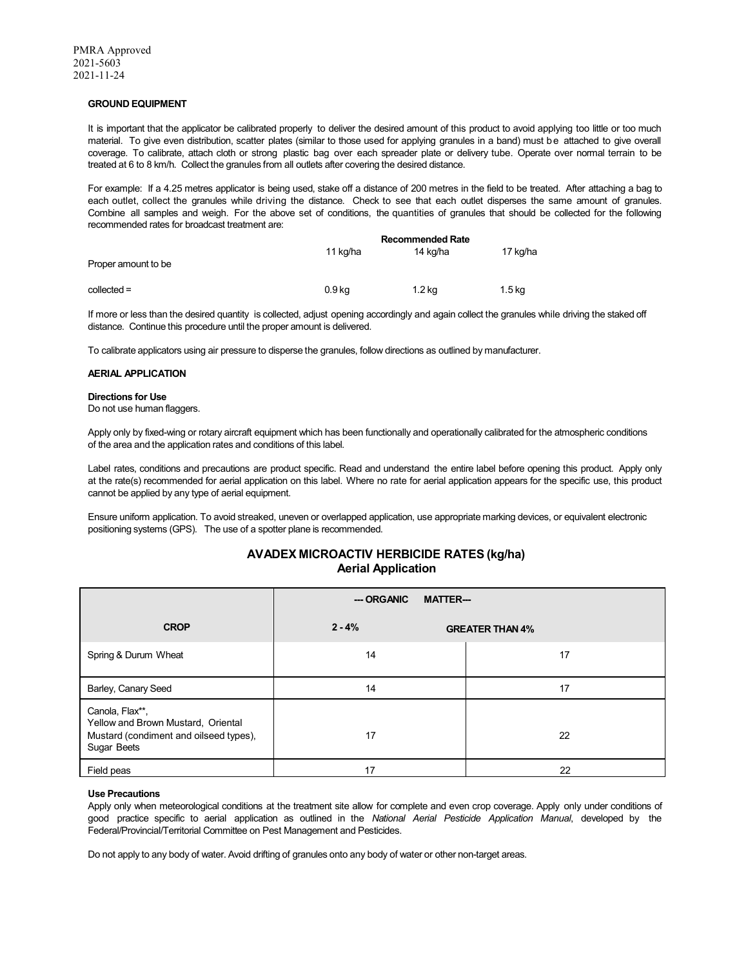#### **GROUND EQUIPMENT**

It is important that the applicator be calibrated properly to deliver the desired amount of this product to avoid applying too little or too much material. To give even distribution, scatter plates (similar to those used for applying granules in a band) must be attached to give overall coverage. To calibrate, attach cloth or strong plastic bag over each spreader plate or delivery tube. Operate over normal terrain to be treated at 6 to 8 km/h. Collect the granules from all outlets after covering the desired distance.

For example: If a 4.25 metres applicator is being used, stake off a distance of 200 metres in the field to be treated. After attaching a bag to each outlet, collect the granules while driving the distance. Check to see that each outlet disperses the same amount of granules. Combine all samples and weigh. For the above set of conditions, the quantities of granules that should be collected for the following recommended rates for broadcast treatment are:

|                     | <b>Recommended Rate</b> |          |                   |
|---------------------|-------------------------|----------|-------------------|
| Proper amount to be | 11 kg/ha                | 14 ka/ha | 17 kg/ha          |
| $collected =$       | 0.9 kg                  | $1.2$ kg | 1.5 <sub>kq</sub> |

If more or less than the desired quantity is collected, adjust opening accordingly and again collect the granules while driving the staked off distance. Continue this procedure until the proper amount is delivered.

To calibrate applicators using air pressure to disperse the granules, follow directions as outlined by manufacturer.

#### **AERIAL APPLICATION**

#### **Directions for Use**

Do not use human flaggers.

Apply only by fixed-wing or rotary aircraft equipment which has been functionally and operationally calibrated for the atmospheric conditions of the area and the application rates and conditions of this label.

Label rates, conditions and precautions are product specific. Read and understand the entire label before opening this product. Apply only at the rate(s) recommended for aerial application on this label. Where no rate for aerial application appears for the specific use, this product cannot be applied by any type of aerial equipment.

Ensure uniform application. To avoid streaked, uneven or overlapped application, use appropriate marking devices, or equivalent electronic positioning systems (GPS). The use of a spotter plane is recommended.

# **AVADEX MICROACTIV HERBICIDE RATES (kg/ha) Aerial Application**

|                                                                                                                | --- ORGANIC<br><b>MATTER---</b> |                        |  |  |
|----------------------------------------------------------------------------------------------------------------|---------------------------------|------------------------|--|--|
| <b>CROP</b>                                                                                                    | $2 - 4%$                        | <b>GREATER THAN 4%</b> |  |  |
| Spring & Durum Wheat                                                                                           | 14                              | 17                     |  |  |
| Barley, Canary Seed                                                                                            | 14                              | 17                     |  |  |
| Canola, Flax**,<br>Yellow and Brown Mustard, Oriental<br>Mustard (condiment and oilseed types),<br>Sugar Beets | 17                              | 22                     |  |  |
| Field peas                                                                                                     | 17                              | 22                     |  |  |

#### **Use Precautions**

Apply only when meteorological conditions at the treatment site allow for complete and even crop coverage. Apply only under conditions of good practice specific to aerial application as outlined in the *National Aerial Pesticide Application Manual*, developed by the Federal/Provincial/Territorial Committee on Pest Management and Pesticides.

Do not apply to any body of water. Avoid drifting of granules onto any body of water or other non-target areas.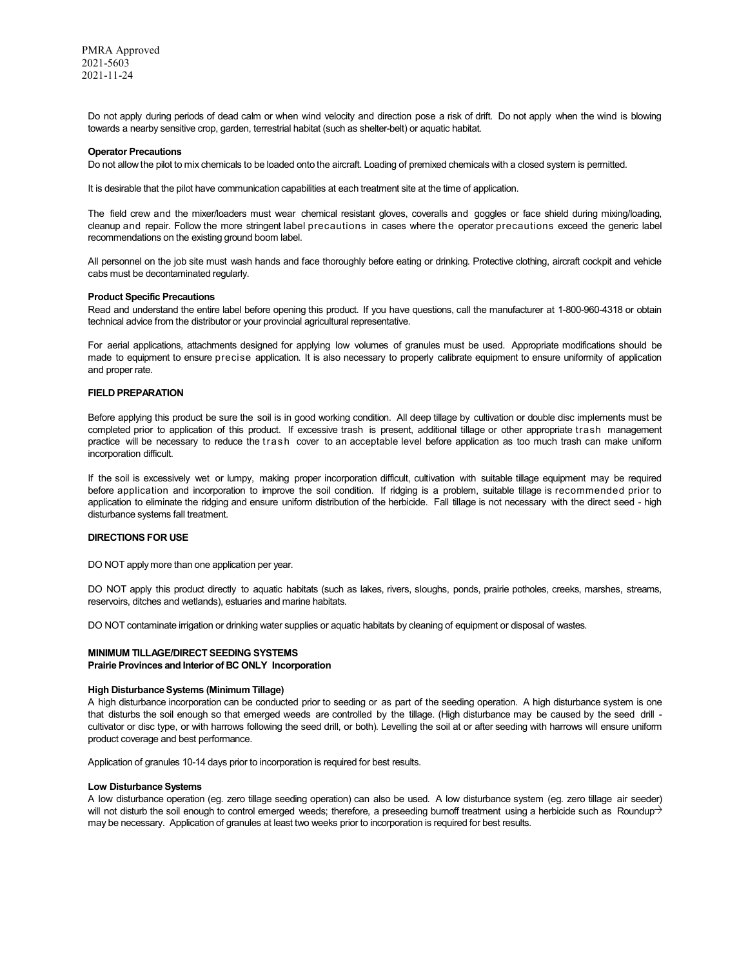Do not apply during periods of dead calm or when wind velocity and direction pose a risk of drift. Do not apply when the wind is blowing towards a nearby sensitive crop, garden, terrestrial habitat (such as shelter-belt) or aquatic habitat.

#### **Operator Precautions**

Do not allow the pilot to mix chemicals to be loaded onto the aircraft. Loading of premixed chemicals with a closed system is permitted.

It is desirable that the pilot have communication capabilities at each treatment site at the time of application.

The field crew and the mixer/loaders must wear chemical resistant gloves, coveralls and goggles or face shield during mixing/loading, cleanup and repair. Follow the more stringent label precautions in cases where the operator precautions exceed the generic label recommendations on the existing ground boom label.

All personnel on the job site must wash hands and face thoroughly before eating or drinking. Protective clothing, aircraft cockpit and vehicle cabs must be decontaminated regularly.

#### **Product Specific Precautions**

Read and understand the entire label before opening this product. If you have questions, call the manufacturer at 1-800-960-4318 or obtain technical advice from the distributor or your provincial agricultural representative.

For aerial applications, attachments designed for applying low volumes of granules must be used. Appropriate modifications should be made to equipment to ensure precise application. It is also necessary to properly calibrate equipment to ensure uniformity of application and proper rate.

#### **FIELD PREPARATION**

Before applying this product be sure the soil is in good working condition. All deep tillage by cultivation or double disc implements must be completed prior to application of this product. If excessive trash is present, additional tillage or other appropriate trash management practice will be necessary to reduce the trash cover to an acceptable level before application as too much trash can make uniform incorporation difficult.

If the soil is excessively wet or lumpy, making proper incorporation difficult, cultivation with suitable tillage equipment may be required before application and incorporation to improve the soil condition. If ridging is a problem, suitable tillage is recommended prior to application to eliminate the ridging and ensure uniform distribution of the herbicide. Fall tillage is not necessary with the direct seed - high disturbance systems fall treatment.

# **DIRECTIONS FOR USE**

DO NOT apply more than one application per year.

DO NOT apply this product directly to aquatic habitats (such as lakes, rivers, sloughs, ponds, prairie potholes, creeks, marshes, streams, reservoirs, ditches and wetlands), estuaries and marine habitats.

DO NOT contaminate irrigation or drinking water supplies or aquatic habitats by cleaning of equipment or disposal of wastes.

# **MINIMUM TILLAGE/DIRECT SEEDING SYSTEMS**

# **Prairie Provinces and Interior of BC ONLY Incorporation**

#### **High Disturbance Systems (Minimum Tillage)**

A high disturbance incorporation can be conducted prior to seeding or as part of the seeding operation. A high disturbance system is one that disturbs the soil enough so that emerged weeds are controlled by the tillage. (High disturbance may be caused by the seed drill cultivator or disc type, or with harrows following the seed drill, or both). Levelling the soil at or after seeding with harrows will ensure uniform product coverage and best performance.

Application of granules 10-14 days prior to incorporation is required for best results.

#### **Low Disturbance Systems**

A low disturbance operation (eg. zero tillage seeding operation) can also be used. A low disturbance system (eg. zero tillage air seeder) will not disturb the soil enough to control emerged weeds; therefore, a preseeding burnoff treatment using a herbicide such as Roundup $\rightarrow$ may be necessary. Application of granules at least two weeks prior to incorporation is required for best results.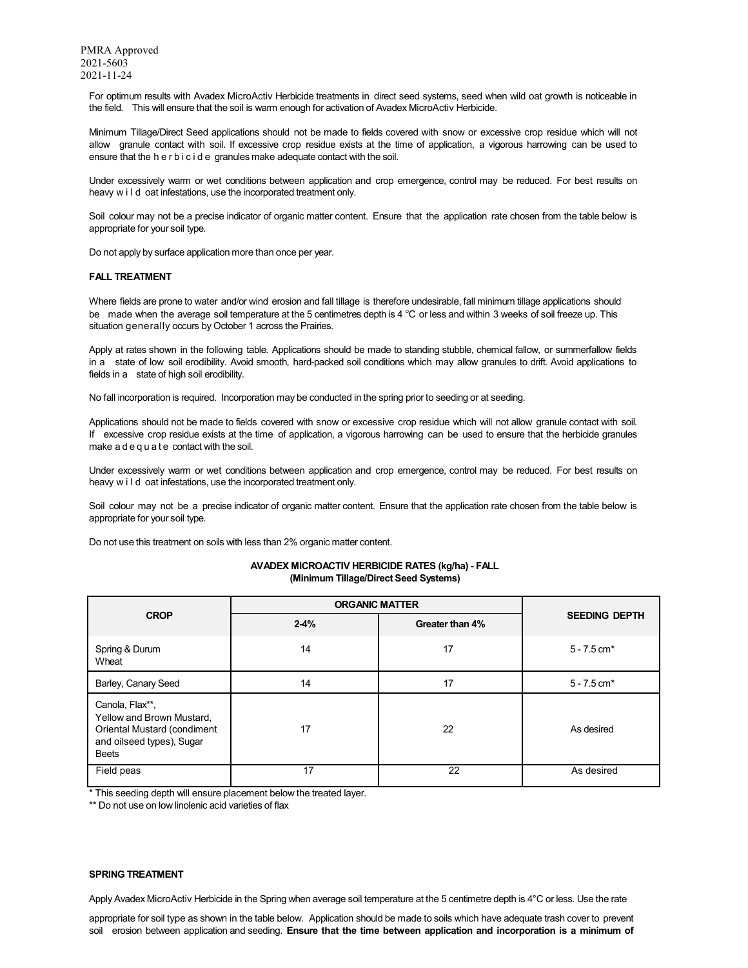For optimum results with Avadex MicroActiv Herbicide treatments in direct seed systems, seed when wild oat growth is noticeable in the field. This will ensure that the soil is warm enough for activation of Avadex MicroActiv Herbicide.

Minimum Tillage/Direct Seed applications should not be made to fields covered with snow or excessive crop residue which will not allow granule contact with soil. If excessive crop residue exists at the time of application, a vigorous harrowing can be used to ensure that the h e r b i c i d e granules make adequate contact with the soil.

Under excessively warm or wet conditions between application and crop emergence, control may be reduced. For best results on heavy w i l d oat infestations, use the incorporated treatment only.

Soil colour may not be a precise indicator of organic matter content. Ensure that the application rate chosen from the table below is appropriate for your soil type.

Do not apply by surface application more than once per year.

# **FALL TREATMENT**

Where fields are prone to water and/or wind erosion and fall tillage is therefore undesirable, fall minimum tillage applications should be made when the average soil temperature at the 5 centimetres depth is 4 °C or less and within 3 weeks of soil freeze up. This situation generally occurs by October 1 across the Prairies.

Apply at rates shown in the following table. Applications should be made to standing stubble, chemical fallow, or summerfallow fields in a state of low soil erodibility. Avoid smooth, hard-packed soil conditions which may allow granules to drift. Avoid applications to fields in a state of high soil erodibility.

No fall incorporation is required. Incorporation may be conducted in the spring prior to seeding or at seeding.

Applications should not be made to fields covered with snow or excessive crop residue which will not allow granule contact with soil. If excessive crop residue exists at the time of application, a vigorous harrowing can be used to ensure that the herbicide granules make a d e q u a t e contact with the soil.

Under excessively warm or wet conditions between application and crop emergence, control may be reduced. For best results on heavy w i l d oat infestations, use the incorporated treatment only.

Soil colour may not be a precise indicator of organic matter content. Ensure that the application rate chosen from the table below is appropriate for your soil type.

Do not use this treatment on soils with less than 2% organic matter content.

# **AVADEX MICROACTIV HERBICIDE RATES (kg/ha) - FALL (Minimum Tillage/Direct Seed Systems)**

|                                                                                                                          | <b>ORGANIC MATTER</b> |                 |                           |
|--------------------------------------------------------------------------------------------------------------------------|-----------------------|-----------------|---------------------------|
| <b>CROP</b>                                                                                                              | $2-4%$                | Greater than 4% | <b>SEEDING DEPTH</b>      |
| Spring & Durum<br>Wheat                                                                                                  | 14                    | 17              | $5 - 7.5$ cm <sup>*</sup> |
| Barley, Canary Seed                                                                                                      | 14                    | 17              | $5 - 7.5$ cm <sup>*</sup> |
| Canola, Flax**,<br>Yellow and Brown Mustard,<br>Oriental Mustard (condiment<br>and oilseed types), Sugar<br><b>Beets</b> | 17                    | 22              | As desired                |
| Field peas                                                                                                               | 17                    | 22              | As desired                |

\* This seeding depth will ensure placement below the treated layer.

\*\* Do not use on low linolenic acid varieties of flax

#### **SPRING TREATMENT**

Apply Avadex MicroActiv Herbicide in the Spring when average soil temperature at the 5 centimetre depth is 4°C or less. Use the rate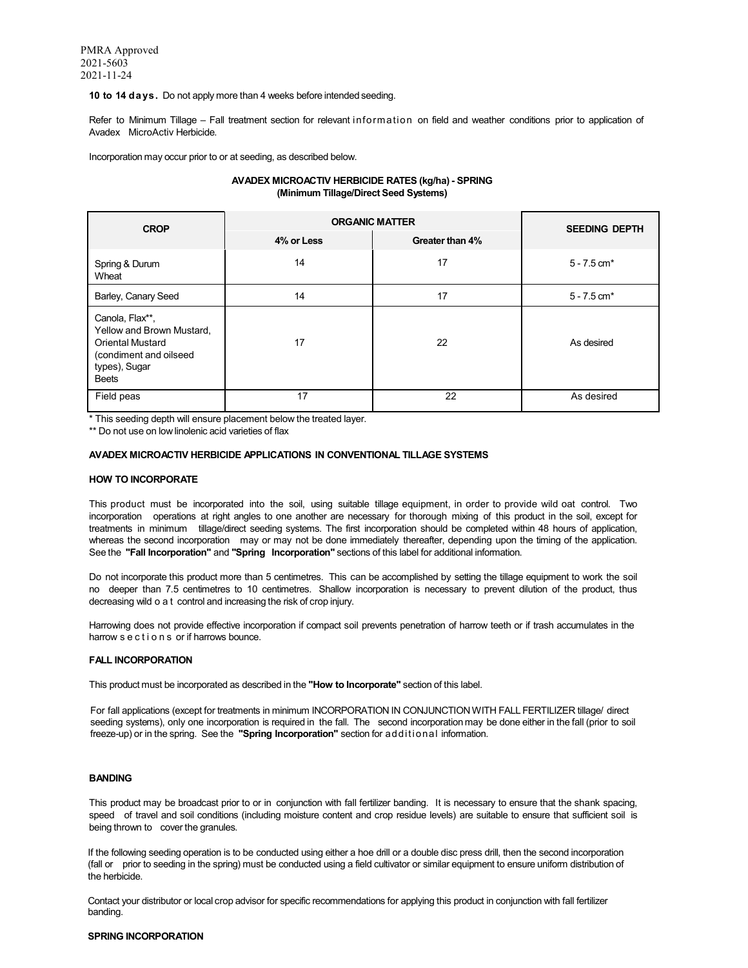**10 to 14 days.** Do not apply more than 4 weeks before intended seeding.

Refer to Minimum Tillage – Fall treatment section for relevant information on field and weather conditions prior to application of Avadex MicroActiv Herbicide.

Incorporation may occur prior to or at seeding, as described below.

# **AVADEX MICROACTIV HERBICIDE RATES (kg/ha) - SPRING (Minimum Tillage/Direct Seed Systems)**

| <b>CROP</b>                                                                                                                        | <b>ORGANIC MATTER</b> | <b>SEEDING DEPTH</b> |                           |
|------------------------------------------------------------------------------------------------------------------------------------|-----------------------|----------------------|---------------------------|
|                                                                                                                                    | 4% or Less            | Greater than 4%      |                           |
| Spring & Durum<br>Wheat                                                                                                            | 14                    | 17                   | $5 - 7.5$ cm <sup>*</sup> |
| Barley, Canary Seed                                                                                                                | 14                    | 17                   | $5 - 7.5$ cm <sup>*</sup> |
| Canola, Flax**,<br>Yellow and Brown Mustard,<br><b>Oriental Mustard</b><br>(condiment and oilseed<br>types), Sugar<br><b>Beets</b> | 17                    | 22                   | As desired                |
| Field peas                                                                                                                         | 17                    | 22                   | As desired                |

\* This seeding depth will ensure placement below the treated layer.

\*\* Do not use on low linolenic acid varieties of flax

#### **AVADEX MICROACTIV HERBICIDE APPLICATIONS IN CONVENTIONAL TILLAGE SYSTEMS**

#### **HOW TO INCORPORATE**

This product must be incorporated into the soil, using suitable tillage equipment, in order to provide wild oat control. Two incorporation operations at right angles to one another are necessary for thorough mixing of this product in the soil, except for treatments in minimum tillage/direct seeding systems. The first incorporation should be completed within 48 hours of application, whereas the second incorporation may or may not be done immediately thereafter, depending upon the timing of the application. See the **"Fall Incorporation"** and **"Spring Incorporation"** sections of this label for additional information.

Do not incorporate this product more than 5 centimetres. This can be accomplished by setting the tillage equipment to work the soil no deeper than 7.5 centimetres to 10 centimetres. Shallow incorporation is necessary to prevent dilution of the product, thus decreasing wild o a t control and increasing the risk of crop injury.

Harrowing does not provide effective incorporation if compact soil prevents penetration of harrow teeth or if trash accumulates in the harrow s e c t i o n s or if harrows bounce.

#### **FALL INCORPORATION**

This product must be incorporated as described in the **"How to Incorporate"** section of this label.

For fall applications (except for treatments in minimum INCORPORATION IN CONJUNCTION WITH FALL FERTILIZER tillage/ direct seeding systems), only one incorporation is required in the fall. The second incorporation may be done either in the fall (prior to soil freeze-up) or in the spring. See the **"Spring Incorporation"** section for additional information.

#### **BANDING**

This product may be broadcast prior to or in conjunction with fall fertilizer banding. It is necessary to ensure that the shank spacing, speed of travel and soil conditions (including moisture content and crop residue levels) are suitable to ensure that sufficient soil is being thrown to cover the granules.

If the following seeding operation is to be conducted using either a hoe drill or a double disc press drill, then the second incorporation (fall or prior to seeding in the spring) must be conducted using a field cultivator or similar equipment to ensure uniform distribution of the herbicide.

Contact your distributor or local crop advisor for specific recommendations for applying this product in conjunction with fall fertilizer banding.

#### **SPRING INCORPORATION**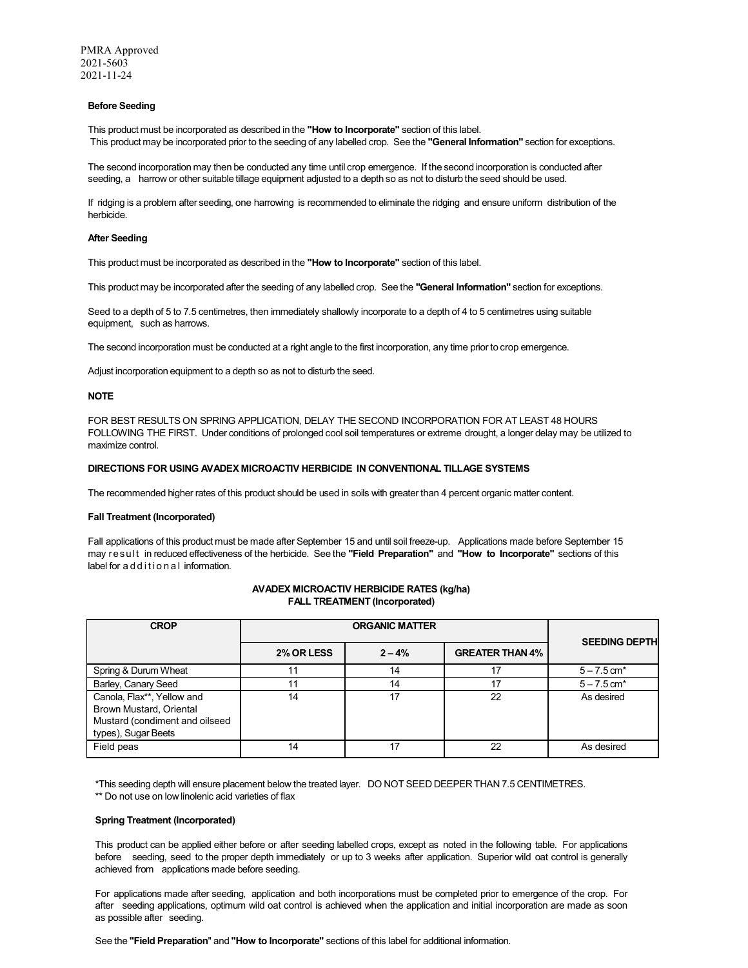#### **Before Seeding**

This product must be incorporated as described in the **"How to Incorporate"** section of this label. This product may be incorporated prior to the seeding of any labelled crop. See the **"General Information"** section for exceptions.

The second incorporation may then be conducted any time until crop emergence. If the second incorporation is conducted after seeding, a harrow or other suitable tillage equipment adjusted to a depth so as not to disturb the seed should be used.

If ridging is a problem after seeding, one harrowing is recommended to eliminate the ridging and ensure uniform distribution of the herbicide.

#### **After Seeding**

This product must be incorporated as described in the **"How to Incorporate"** section of this label.

This product may be incorporated after the seeding of any labelled crop. See the **"General Information"** section for exceptions.

Seed to a depth of 5 to 7.5 centimetres, then immediately shallowly incorporate to a depth of 4 to 5 centimetres using suitable equipment, such as harrows.

The second incorporation must be conducted at a right angle to the first incorporation, any time prior to crop emergence.

Adjust incorporation equipment to a depth so as not to disturb the seed.

#### **NOTE**

FOR BEST RESULTS ON SPRING APPLICATION, DELAY THE SECOND INCORPORATION FOR AT LEAST 48 HOURS FOLLOWING THE FIRST. Under conditions of prolonged cool soil temperatures or extreme drought, a longer delay may be utilized to maximize control.

#### **DIRECTIONS FOR USING AVADEX MICROACTIV HERBICIDE IN CONVENTIONAL TILLAGE SYSTEMS**

The recommended higher rates of this product should be used in soils with greater than 4 percent organic matter content.

#### **Fall Treatment (Incorporated)**

Fall applications of this product must be made after September 15 and until soil freeze-up. Applications made before September 15 may result in reduced effectiveness of the herbicide. See the **"Field Preparation"** and **"How to Incorporate"** sections of this label for a d d i t i o n a l information.

| <b>CROP</b>                                                                                                    |                   | <b>SEEDING DEPTH</b> |                        |                           |
|----------------------------------------------------------------------------------------------------------------|-------------------|----------------------|------------------------|---------------------------|
|                                                                                                                | <b>2% OR LESS</b> | $2 - 4%$             | <b>GREATER THAN 4%</b> |                           |
| Spring & Durum Wheat                                                                                           |                   | 14                   | 17                     | $5 - 7.5$ cm <sup>*</sup> |
| Barley, Canary Seed                                                                                            |                   | 14                   | 17                     | $5 - 7.5$ cm <sup>*</sup> |
| Canola, Flax**, Yellow and<br>Brown Mustard, Oriental<br>Mustard (condiment and oilseed<br>types), Sugar Beets | 14                | 17                   | 22                     | As desired                |
| Field peas                                                                                                     | 14                | 17                   | 22                     | As desired                |

**AVADEX MICROACTIV HERBICIDE RATES (kg/ha) FALL TREATMENT (Incorporated)**

\*This seeding depth will ensure placement below the treated layer. DO NOT SEED DEEPER THAN 7.5 CENTIMETRES.

\*\* Do not use on low linolenic acid varieties of flax

# **Spring Treatment (Incorporated)**

This product can be applied either before or after seeding labelled crops, except as noted in the following table. For applications before seeding, seed to the proper depth immediately or up to 3 weeks after application. Superior wild oat control is generally achieved from applications made before seeding.

For applications made after seeding, application and both incorporations must be completed prior to emergence of the crop. For after seeding applications, optimum wild oat control is achieved when the application and initial incorporation are made as soon as possible after seeding.

See the **"Field Preparation**" and **"How to Incorporate"** sections of this label for additional information.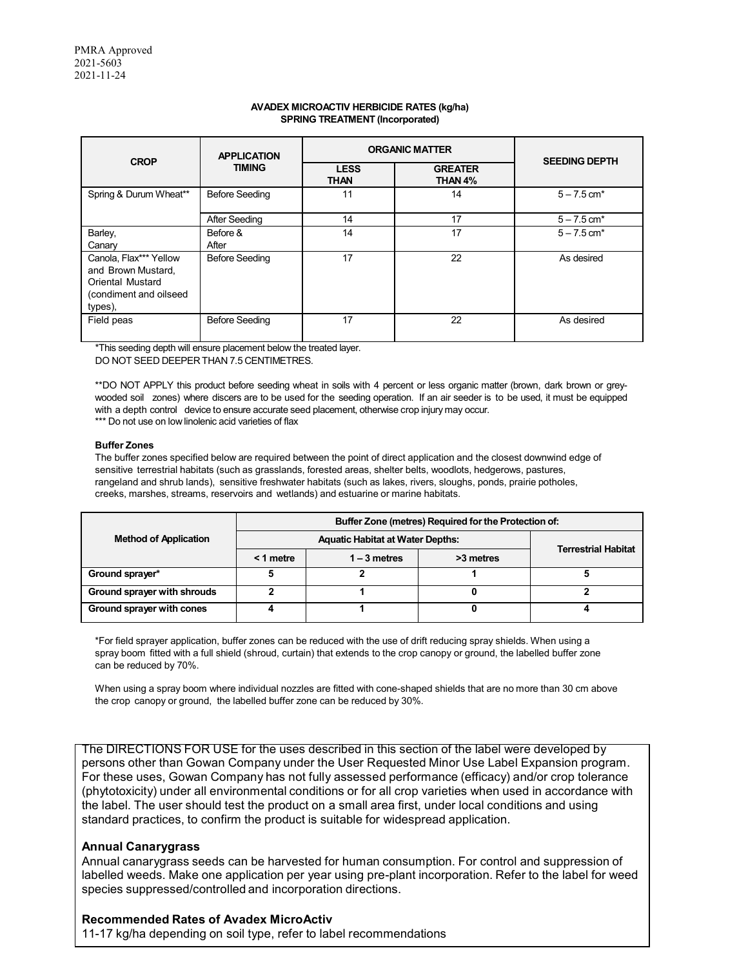# **AVADEX MICROACTIV HERBICIDE RATES (kg/ha) SPRING TREATMENT (Incorporated)**

| <b>CROP</b>                                                                                                  | <b>APPLICATION</b><br><b>TIMING</b> | <b>ORGANIC MATTER</b>      |                           | <b>SEEDING DEPTH</b>      |  |
|--------------------------------------------------------------------------------------------------------------|-------------------------------------|----------------------------|---------------------------|---------------------------|--|
|                                                                                                              |                                     | <b>LESS</b><br><b>THAN</b> | <b>GREATER</b><br>THAN 4% |                           |  |
| Spring & Durum Wheat**                                                                                       | <b>Before Seeding</b>               | 11                         | 14                        | $5 - 7.5$ cm <sup>*</sup> |  |
|                                                                                                              | After Seeding                       | 14                         | 17                        | $5 - 7.5$ cm <sup>*</sup> |  |
| Barley,<br>Canary                                                                                            | Before &<br>After                   | 14                         | 17                        | $5 - 7.5$ cm <sup>*</sup> |  |
| Canola, Flax*** Yellow<br>and Brown Mustard,<br><b>Oriental Mustard</b><br>(condiment and oilseed<br>types), | <b>Before Seeding</b>               | 17                         | 22                        | As desired                |  |
| Field peas                                                                                                   | <b>Before Seeding</b>               | 17                         | 22                        | As desired                |  |

\*This seeding depth will ensure placement below the treated layer. DO NOT SEED DEEPER THAN 7.5 CENTIMETRES.

\*\*DO NOT APPLY this product before seeding wheat in soils with 4 percent or less organic matter (brown, dark brown or greywooded soil zones) where discers are to be used for the seeding operation. If an air seeder is to be used, it must be equipped with a depth control device to ensure accurate seed placement, otherwise crop injury may occur. \*\*\* Do not use on low linolenic acid varieties of flax

# **Buffer Zones**

The buffer zones specified below are required between the point of direct application and the closest downwind edge of sensitive terrestrial habitats (such as grasslands, forested areas, shelter belts, woodlots, hedgerows, pastures, rangeland and shrub lands), sensitive freshwater habitats (such as lakes, rivers, sloughs, ponds, prairie potholes, creeks, marshes, streams, reservoirs and wetlands) and estuarine or marine habitats.

|                              | Buffer Zone (metres) Required for the Protection of: |                |           |                            |
|------------------------------|------------------------------------------------------|----------------|-----------|----------------------------|
| <b>Method of Application</b> | <b>Aquatic Habitat at Water Depths:</b>              |                |           | <b>Terrestrial Habitat</b> |
|                              | $<$ 1 metre                                          | $1 - 3$ metres | >3 metres |                            |
| Ground sprayer*              |                                                      |                |           |                            |
| Ground sprayer with shrouds  |                                                      |                |           |                            |
| Ground sprayer with cones    |                                                      |                |           |                            |

\*For field sprayer application, buffer zones can be reduced with the use of drift reducing spray shields. When using a spray boom fitted with a full shield (shroud, curtain) that extends to the crop canopy or ground, the labelled buffer zone can be reduced by 70%.

When using a spray boom where individual nozzles are fitted with cone-shaped shields that are no more than 30 cm above the crop canopy or ground, the labelled buffer zone can be reduced by 30%.

The DIRECTIONS FOR USE for the uses described in this section of the label were developed by persons other than Gowan Company under the User Requested Minor Use Label Expansion program. For these uses, Gowan Company has not fully assessed performance (efficacy) and/or crop tolerance (phytotoxicity) under all environmental conditions or for all crop varieties when used in accordance with the label. The user should test the product on a small area first, under local conditions and using standard practices, to confirm the product is suitable for widespread application.

# **Annual Canarygrass**

Annual canarygrass seeds can be harvested for human consumption. For control and suppression of labelled weeds. Make one application per year using pre-plant incorporation. Refer to the label for weed species suppressed/controlled and incorporation directions.

# **Recommended Rates of Avadex MicroActiv**

11-17 kg/ha depending on soil type, refer to label recommendations